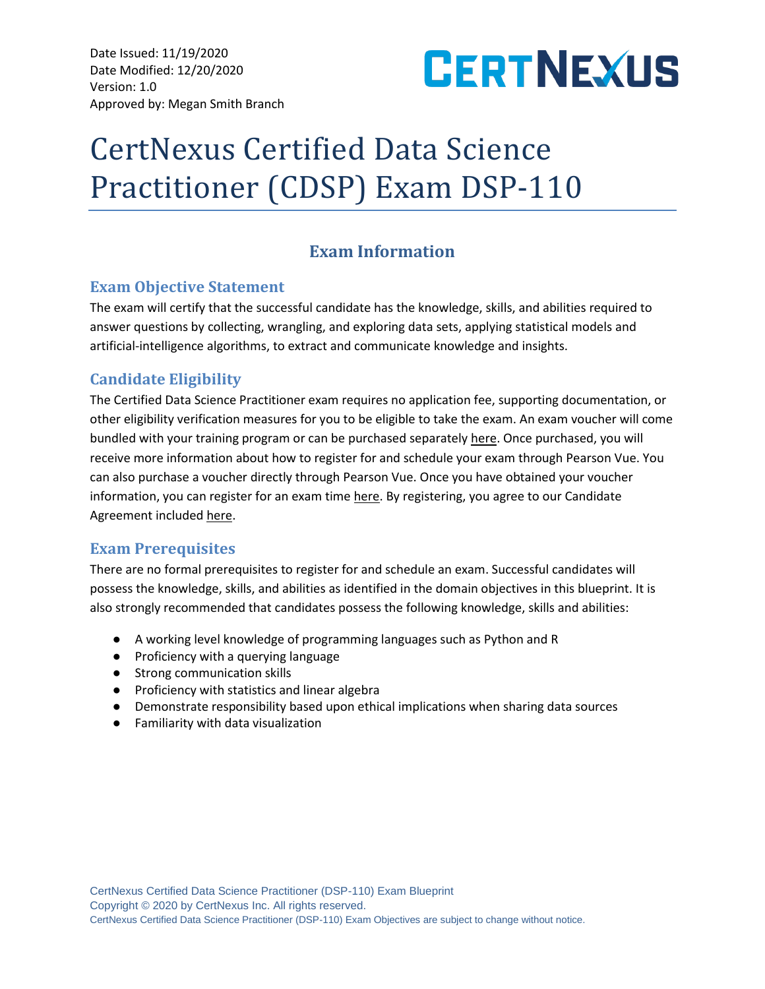Date Issued: 11/19/2020 Date Modified: 12/20/2020 Version: 1.0 Approved by: Megan Smith Branch



# CertNexus Certified Data Science Practitioner (CDSP) Exam DSP-110

# **Exam Information**

## **Exam Objective Statement**

The exam will certify that the successful candidate has the knowledge, skills, and abilities required to answer questions by collecting, wrangling, and exploring data sets, applying statistical models and artificial-intelligence algorithms, to extract and communicate knowledge and insights.

# **Candidate Eligibility**

The Certified Data Science Practitioner exam requires no application fee, supporting documentation, or other eligibility verification measures for you to be eligible to take the exam. An exam voucher will come bundled with your training program or can be purchased separately [here.](https://store.certnexus.com/) Once purchased, you will receive more information about how to register for and schedule your exam through Pearson Vue. You can also purchase a voucher directly through Pearson Vue. Once you have obtained your voucher information, you can register for an exam tim[e](https://home.pearsonvue.com/certnexus) [here.](https://home.pearsonvue.com/certnexus) By registering, you agree to our Candidate Agreement included [here.](https://certnexus.com/wp-content/uploads/2018/06/CertNexus-Candidate-Handbook.pdf)

# **Exam Prerequisites**

There are no formal prerequisites to register for and schedule an exam. Successful candidates will possess the knowledge, skills, and abilities as identified in the domain objectives in this blueprint. It is also strongly recommended that candidates possess the following knowledge, skills and abilities:

- A working level knowledge of programming languages such as Python and R
- Proficiency with a querying language
- Strong communication skills
- Proficiency with statistics and linear algebra
- Demonstrate responsibility based upon ethical implications when sharing data sources
- Familiarity with data visualization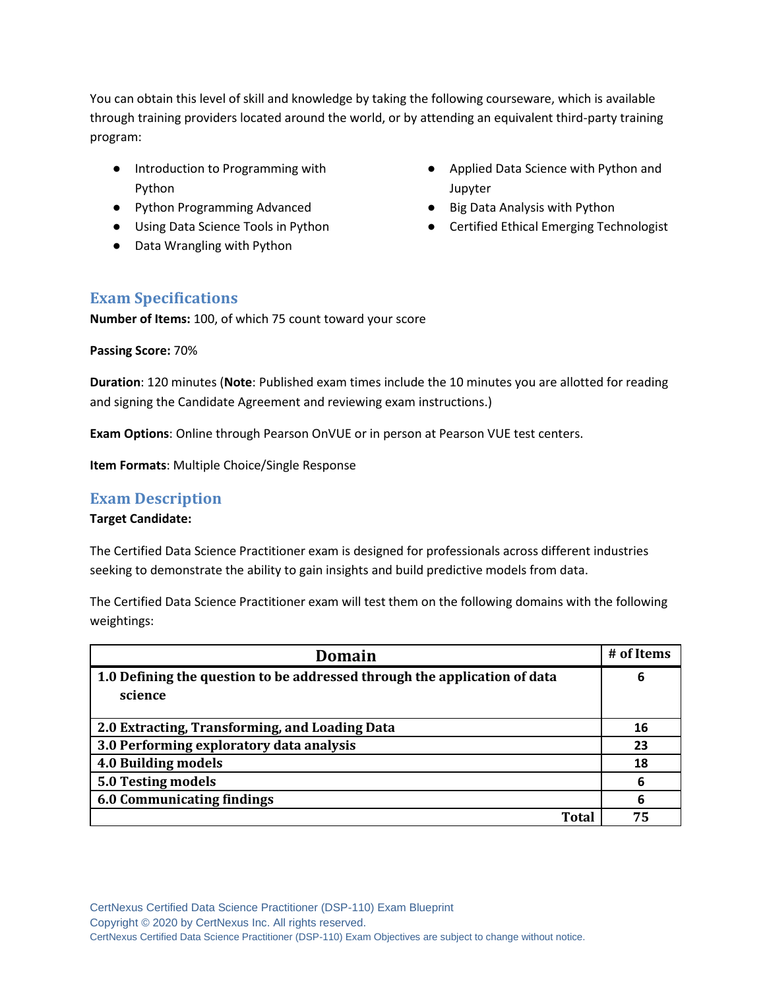You can obtain this level of skill and knowledge by taking the following courseware, which is available through training providers located around the world, or by attending an equivalent third-party training program:

- Introduction to Programming with Python
- Python Programming Advanced
- Using Data Science Tools in Python
- Data Wrangling with Python
- Applied Data Science with Python and Jupyter
- Big Data Analysis with Python
- Certified Ethical Emerging Technologist

## **Exam Specifications**

**Number of Items:** 100, of which 75 count toward your score

#### **Passing Score:** 70%

**Duration**: 120 minutes (**Note**: Published exam times include the 10 minutes you are allotted for reading and signing the Candidate Agreement and reviewing exam instructions.)

**Exam Options**: Online through Pearson OnVUE or in person at Pearson VUE test centers.

**Item Formats**: Multiple Choice/Single Response

## **Exam Description**

#### **Target Candidate:**

The Certified Data Science Practitioner exam is designed for professionals across different industries seeking to demonstrate the ability to gain insights and build predictive models from data.

The Certified Data Science Practitioner exam will test them on the following domains with the following weightings:

| Domain                                                                    | # of Items |
|---------------------------------------------------------------------------|------------|
| 1.0 Defining the question to be addressed through the application of data | 6          |
| science                                                                   |            |
|                                                                           |            |
| 2.0 Extracting, Transforming, and Loading Data                            | 16         |
| 3.0 Performing exploratory data analysis                                  | 23         |
| 4.0 Building models                                                       | 18         |
| 5.0 Testing models                                                        | 6          |
| <b>6.0 Communicating findings</b>                                         | 6          |
| Total                                                                     | 75         |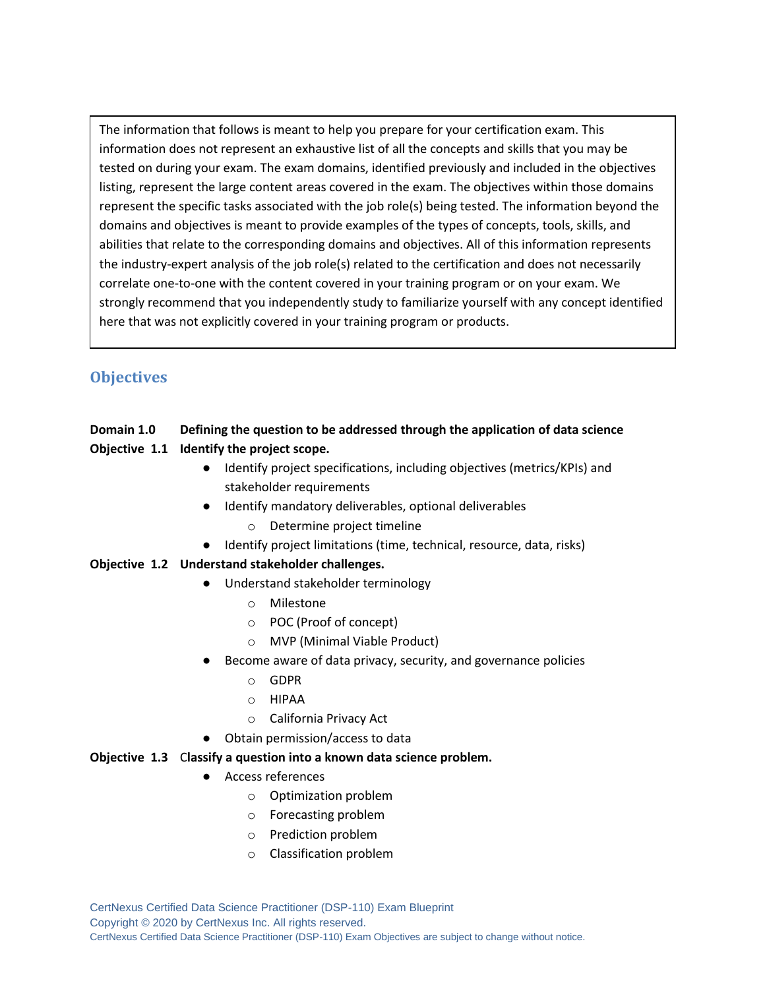The information that follows is meant to help you prepare for your certification exam. This information does not represent an exhaustive list of all the concepts and skills that you may be tested on during your exam. The exam domains, identified previously and included in the objectives listing, represent the large content areas covered in the exam. The objectives within those domains represent the specific tasks associated with the job role(s) being tested. The information beyond the domains and objectives is meant to provide examples of the types of concepts, tools, skills, and abilities that relate to the corresponding domains and objectives. All of this information represents the industry-expert analysis of the job role(s) related to the certification and does not necessarily correlate one-to-one with the content covered in your training program or on your exam. We strongly recommend that you independently study to familiarize yourself with any concept identified here that was not explicitly covered in your training program or products.

# **Objectives**

#### **Domain 1.0 Defining the question to be addressed through the application of data science**

- **Objective 1.1 Identify the project scope.** 
	- Identify project specifications, including objectives (metrics/KPIs) and stakeholder requirements
	- Identify mandatory deliverables, optional deliverables
		- o Determine project timeline
	- Identify project limitations (time, technical, resource, data, risks)

#### **Objective 1.2 Understand stakeholder challenges.**

- Understand stakeholder terminology
	- o Milestone
	- o POC (Proof of concept)
	- o MVP (Minimal Viable Product)
- Become aware of data privacy, security, and governance policies
	- o GDPR
	- o HIPAA
	- o California Privacy Act
- Obtain permission/access to data

#### **Objective 1.3** C**lassify a question into a known data science problem.**

- Access references
	- o Optimization problem
	- o Forecasting problem
	- o Prediction problem
	- o Classification problem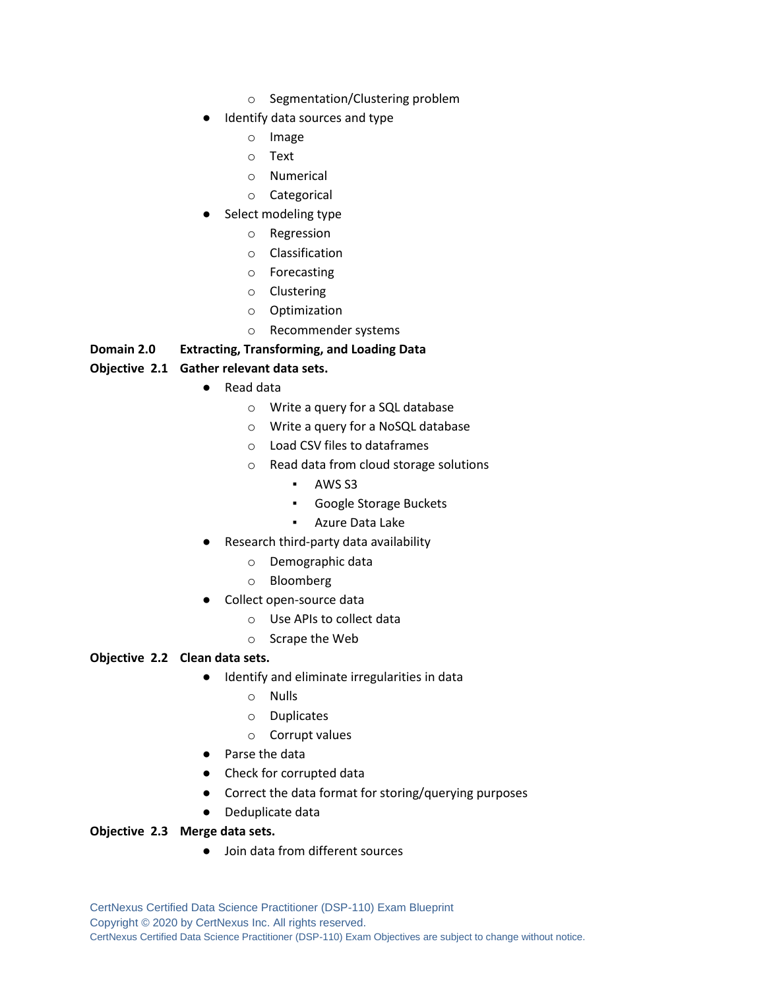- o Segmentation/Clustering problem
- Identify data sources and type
	- o Image
	- o Text
	- o Numerical
	- o Categorical
- Select modeling type
	- o Regression
	- o Classification
	- o Forecasting
	- o Clustering
	- o Optimization
	- o Recommender systems

## **Domain 2.0 Extracting, Transforming, and Loading Data**

## **Objective 2.1 Gather relevant data sets.**

- Read data
	- o Write a query for a SQL database
	- o Write a query for a NoSQL database
	- o Load CSV files to dataframes
	- o Read data from cloud storage solutions
		- AWS S3
		- Google Storage Buckets
		- Azure Data Lake
- Research third-party data availability
	- o Demographic data
	- o Bloomberg
- Collect open-source data
	- o Use APIs to collect data
	- o Scrape the Web

#### **Objective 2.2 Clean data sets.**

- Identify and eliminate irregularities in data
	- o Nulls
	- o Duplicates
	- o Corrupt values
- Parse the data
- Check for corrupted data
- Correct the data format for storing/querying purposes
- Deduplicate data

#### **Objective 2.3 Merge data sets.**

● Join data from different sources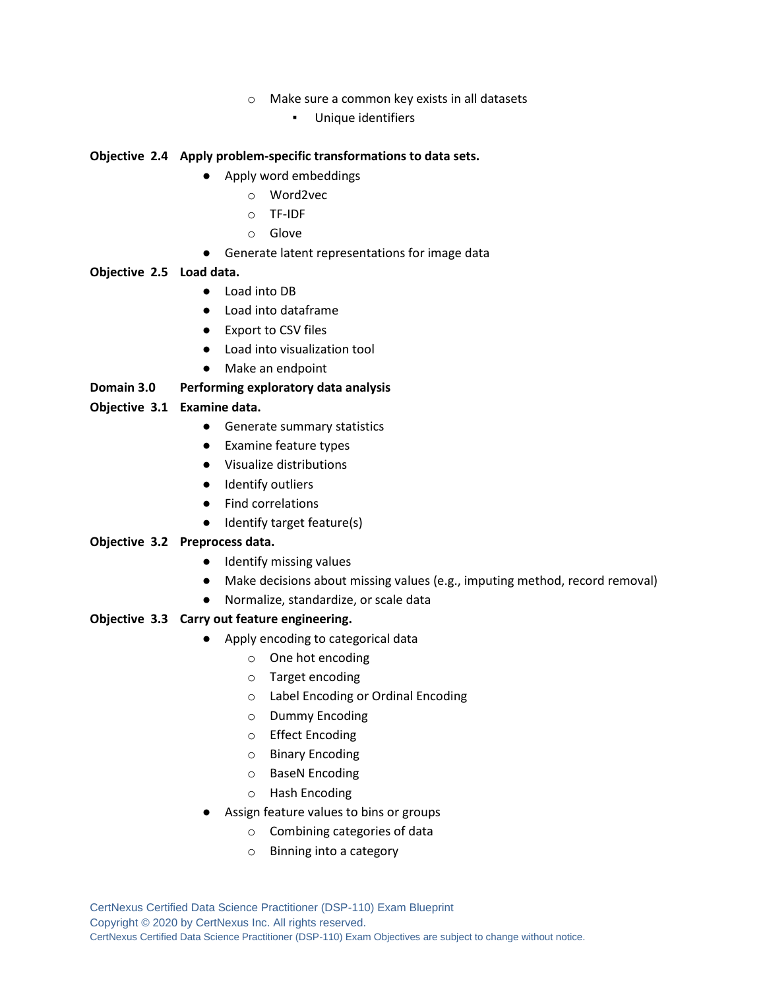- o Make sure a common key exists in all datasets
	- Unique identifiers

#### **Objective 2.4 Apply problem-specific transformations to data sets.**

- Apply word embeddings
	- o Word2vec
	- o TF-IDF
	- o Glove
- Generate latent representations for image data

#### **Objective 2.5 Load data.**

- Load into DB
- Load into dataframe
- Export to CSV files
- Load into visualization tool
- Make an endpoint

#### **Domain 3.0 Performing exploratory data analysis**

#### **Objective 3.1 Examine data.**

- Generate summary statistics
- Examine feature types
- Visualize distributions
- Identify outliers
- Find correlations
- Identify target feature(s)

#### **Objective 3.2 Preprocess data.**

- Identify missing values
- Make decisions about missing values (e.g., imputing method, record removal)
- Normalize, standardize, or scale data

#### **Objective 3.3 Carry out feature engineering.**

- Apply encoding to categorical data
	- o One hot encoding
	- o Target encoding
	- o Label Encoding or Ordinal Encoding
	- o Dummy Encoding
	- o Effect Encoding
	- o Binary Encoding
	- o BaseN Encoding
	- o Hash Encoding
- Assign feature values to bins or groups
	- o Combining categories of data
	- o Binning into a category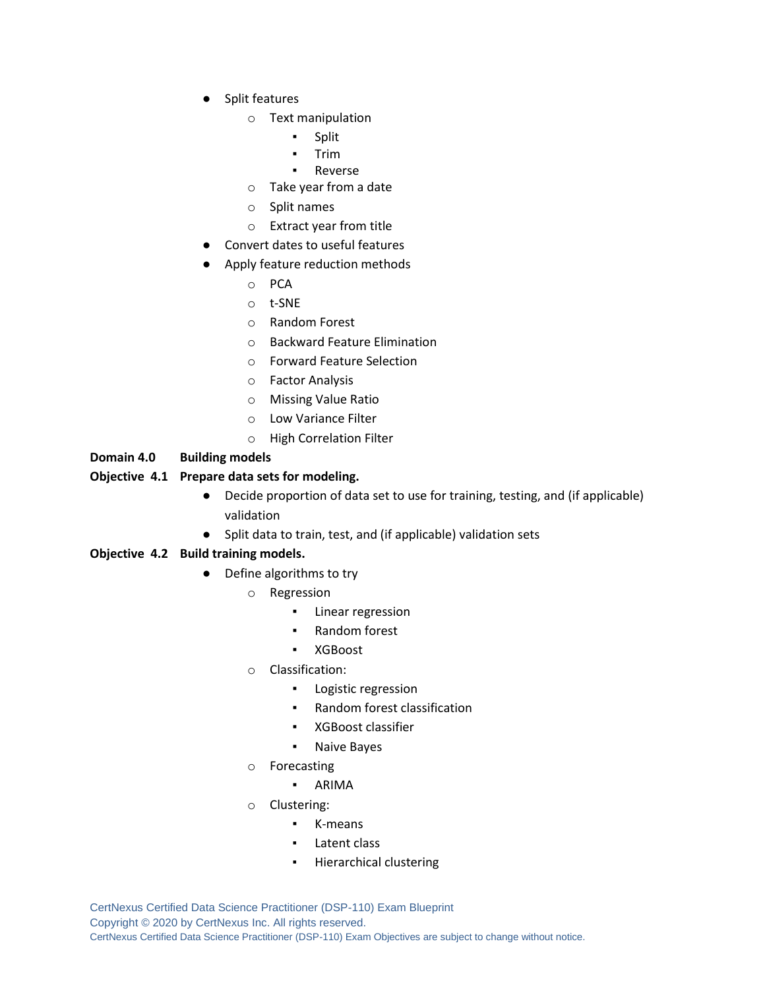- Split features
	- o Text manipulation
		- Split
		- Trim
		- **Reverse**
	- o Take year from a date
	- o Split names
	- o Extract year from title
- Convert dates to useful features
- Apply feature reduction methods
	- o PCA
	- o t-SNE
	- o Random Forest
	- o Backward Feature Elimination
	- o Forward Feature Selection
	- o Factor Analysis
	- o Missing Value Ratio
	- o Low Variance Filter
	- o High Correlation Filter

#### **Domain 4.0 Building models**

#### **Objective 4.1 Prepare data sets for modeling.**

- Decide proportion of data set to use for training, testing, and (if applicable) validation
- Split data to train, test, and (if applicable) validation sets

#### **Objective 4.2 Build training models.**

- Define algorithms to try
	- o Regression
		- Linear regression
		- Random forest
		- XGBoost
	- o Classification:
		- Logistic regression
		- Random forest classification
		- XGBoost classifier
		- Naive Bayes
	- o Forecasting
		- ARIMA
	- o Clustering:
		- K-means
			- Latent class
			- Hierarchical clustering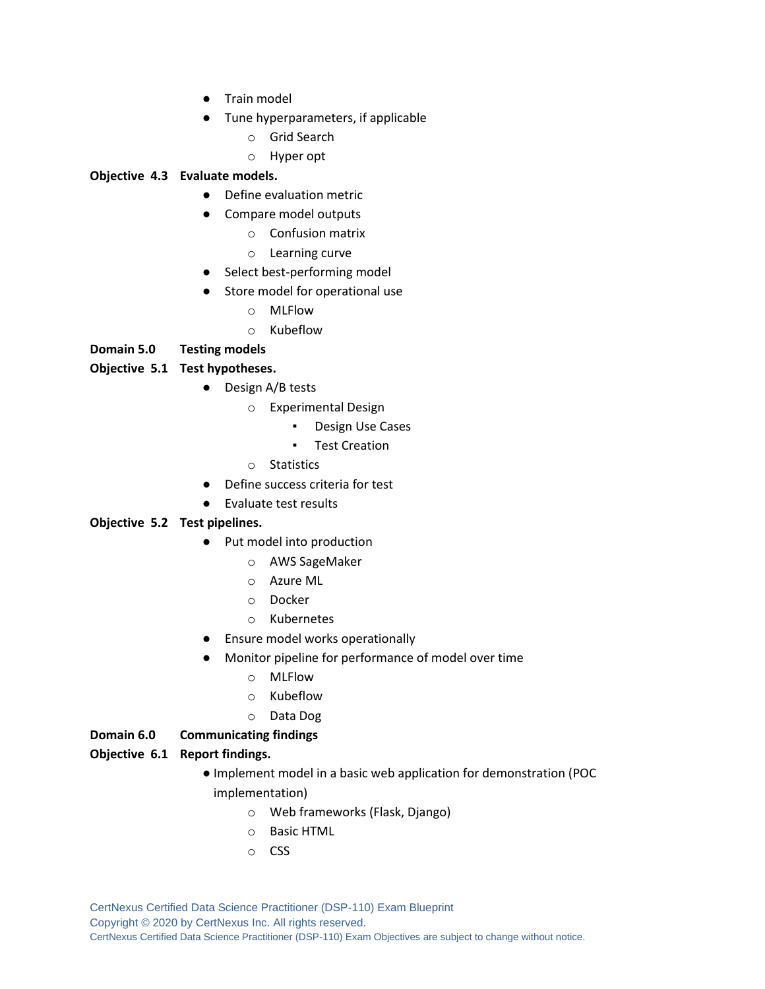- Train model
- Tune hyperparameters, if applicable
	- o Grid Search
	- o Hyper opt

#### **Objective 4.3 Evaluate models.**

- Define evaluation metric
- Compare model outputs
	- o Confusion matrix
	- o Learning curve
- Select best-performing model
- Store model for operational use
	- o MLFlow
	- o Kubeflow

#### **Domain 5.0 Testing models**

#### **Objective 5.1 Test hypotheses.**

- Design A/B tests
	- o Experimental Design
		- Design Use Cases
		- Test Creation
	- o Statistics
- Define success criteria for test
- Evaluate test results

#### **Objective 5.2 Test pipelines.**

- Put model into production
	- o AWS SageMaker
	- o Azure ML
	- o Docker
	- o Kubernetes
- Ensure model works operationally
- Monitor pipeline for performance of model over time
	- o MLFlow
	- o Kubeflow
	- o Data Dog

#### **Domain 6.0 Communicating findings**

#### **Objective 6.1 Report findings.**

- Implement model in a basic web application for demonstration (POC implementation)
	- o Web frameworks (Flask, Django)
	- o Basic HTML
	- o CSS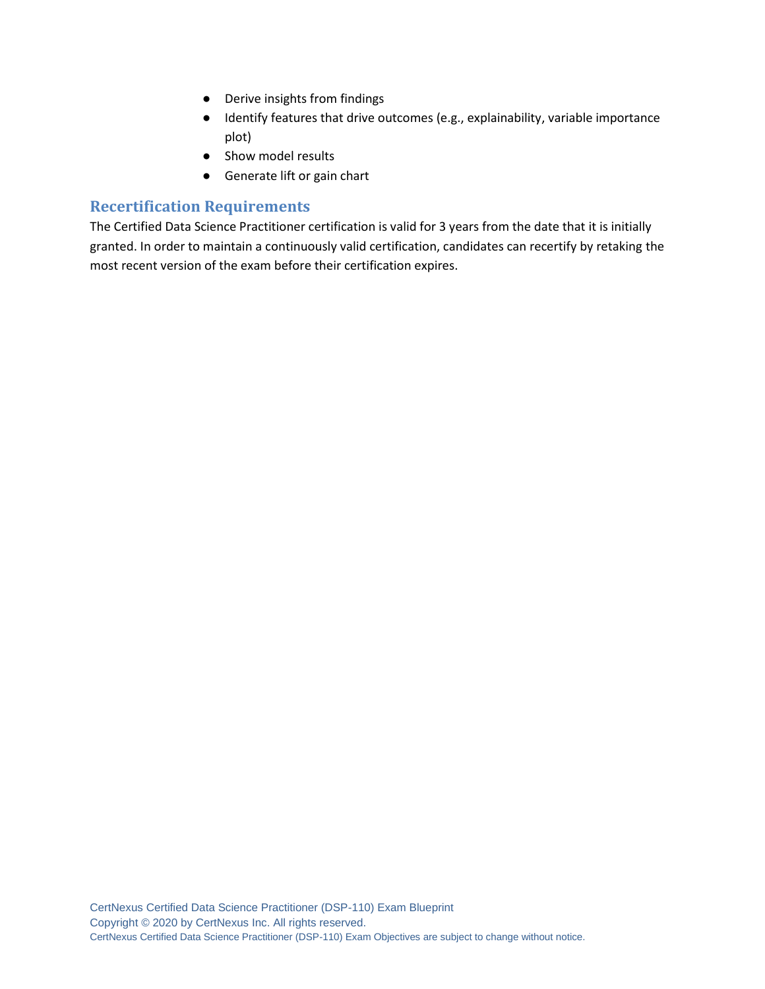- Derive insights from findings
- Identify features that drive outcomes (e.g., explainability, variable importance plot)
- Show model results
- Generate lift or gain chart

## **Recertification Requirements**

The Certified Data Science Practitioner certification is valid for 3 years from the date that it is initially granted. In order to maintain a continuously valid certification, candidates can recertify by retaking the most recent version of the exam before their certification expires.